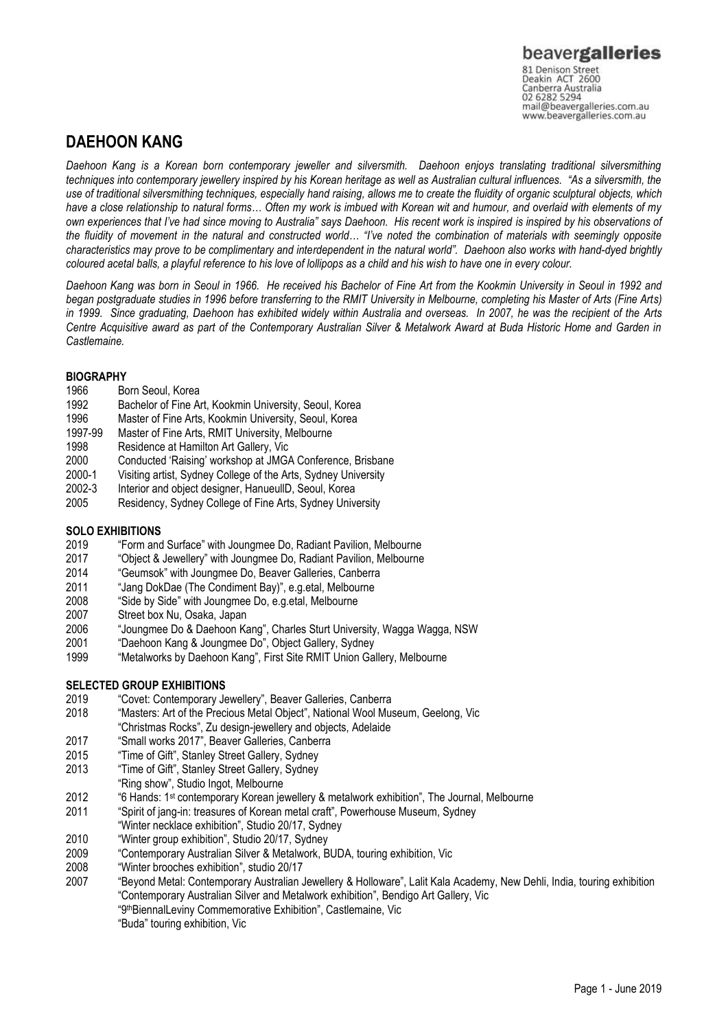### 02 6282 5294 mail@beavergalleries.com.au www.beavergalleries.com.au

## **DAEHOON KANG**

*Daehoon Kang is a Korean born contemporary jeweller and silversmith. Daehoon enjoys translating traditional silversmithing techniques into contemporary jewellery inspired by his Korean heritage as well as Australian cultural influences. "As a silversmith, the use of traditional silversmithing techniques, especially hand raising, allows me to create the fluidity of organic sculptural objects, which have a close relationship to natural forms… Often my work is imbued with Korean wit and humour, and overlaid with elements of my own experiences that I've had since moving to Australia" says Daehoon. His recent work is inspired is inspired by his observations of the fluidity of movement in the natural and constructed world… "I've noted the combination of materials with seemingly opposite characteristics may prove to be complimentary and interdependent in the natural world". Daehoon also works with hand-dyed brightly coloured acetal balls, a playful reference to his love of lollipops as a child and his wish to have one in every colour.* 

*Daehoon Kang was born in Seoul in 1966. He received his Bachelor of Fine Art from the Kookmin University in Seoul in 1992 and began postgraduate studies in 1996 before transferring to the RMIT University in Melbourne, completing his Master of Arts (Fine Arts) in 1999. Since graduating, Daehoon has exhibited widely within Australia and overseas. In 2007, he was the recipient of the Arts Centre Acquisitive award as part of the Contemporary Australian Silver & Metalwork Award at Buda Historic Home and Garden in Castlemaine.*

#### **BIOGRAPHY**

- 1966 Born Seoul, Korea
- 1992 Bachelor of Fine Art, Kookmin University, Seoul, Korea
- 1996 Master of Fine Arts, Kookmin University, Seoul, Korea
- 1997-99 Master of Fine Arts, RMIT University, Melbourne
- 1998 Residence at Hamilton Art Gallery, Vic<br>2000 Conducted 'Raising' workshop at JMG
- Conducted 'Raising' workshop at JMGA Conference, Brisbane
- 2000-1 Visiting artist, Sydney College of the Arts, Sydney University<br>2002-3 Interior and object designer, HanueullD. Seoul. Korea
- Interior and object designer, HanueullD, Seoul, Korea
- 2005 Residency, Sydney College of Fine Arts, Sydney University

## **SOLO EXHIBITIONS**<br>2019 **Form and**

- 2019 "Form and Surface" with Joungmee Do, Radiant Pavilion, Melbourne
- 2017 "Object & Jewellery" with Joungmee Do, Radiant Pavilion, Melbourne
- 2014 "Geumsok" with Joungmee Do, Beaver Galleries, Canberra<br>2011 "Jang DokDae (The Condiment Bay)", e.g.etal. Melbourne
- "Jang DokDae (The Condiment Bay)", e.g.etal, Melbourne
- 2008 "Side by Side" with Joungmee Do, e.g.etal, Melbourne
- 2007 Street box Nu, Osaka, Japan
- 2006 "Joungmee Do & Daehoon Kang", Charles Sturt University, Wagga Wagga, NSW
- 2001 "Daehoon Kang & Joungmee Do", Object Gallery, Sydney
- 1999 "Metalworks by Daehoon Kang", First Site RMIT Union Gallery, Melbourne

#### **SELECTED GROUP EXHIBITIONS**

- 2019 "Covet: Contemporary Jewellery", Beaver Galleries, Canberra
- 2018 "Masters: Art of the Precious Metal Object", National Wool Museum, Geelong, Vic "Christmas Rocks", Zu design-jewellery and objects, Adelaide
- 2017 "Small works 2017", Beaver Galleries, Canberra
- 2015 "Time of Gift", Stanley Street Gallery, Sydney
- 2013 "Time of Gift", Stanley Street Gallery, Sydney
- "Ring show", Studio Ingot, Melbourne
- 2012 "6 Hands: 1st contemporary Korean jewellery & metalwork exhibition", The Journal, Melbourne
- 2011 "Spirit of jang-in: treasures of Korean metal craft", Powerhouse Museum, Sydney
- "Winter necklace exhibition", Studio 20/17, Sydney
- 2010 "Winter group exhibition", Studio 20/17, Sydney
- 2009 "Contemporary Australian Silver & Metalwork, BUDA, touring exhibition, Vic
- 2008 "Winter brooches exhibition", studio 20/17
- 2007 "Beyond Metal: Contemporary Australian Jewellery & Holloware", Lalit Kala Academy, New Dehli, India, touring exhibition "Contemporary Australian Silver and Metalwork exhibition", Bendigo Art Gallery, Vic "9thBiennalLeviny Commemorative Exhibition", Castlemaine, Vic
	- "Buda" touring exhibition, Vic